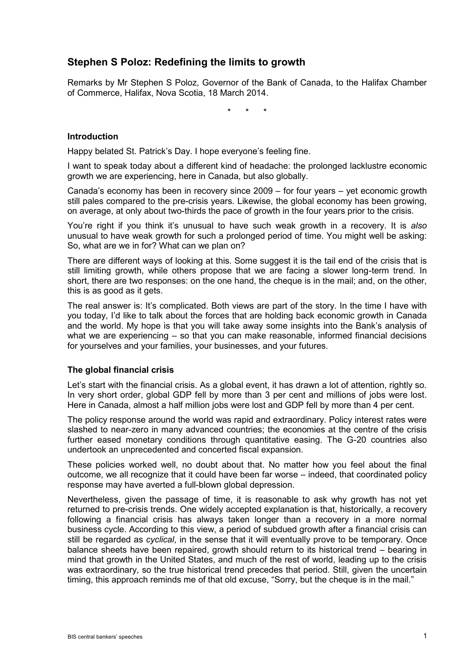# **Stephen S Poloz: Redefining the limits to growth**

Remarks by Mr Stephen S Poloz, Governor of the Bank of Canada, to the Halifax Chamber of Commerce, Halifax, Nova Scotia, 18 March 2014.

\* \* \*

#### **Introduction**

Happy belated St. Patrick's Day. I hope everyone's feeling fine.

I want to speak today about a different kind of headache: the prolonged lacklustre economic growth we are experiencing, here in Canada, but also globally.

Canada's economy has been in recovery since 2009 – for four years – yet economic growth still pales compared to the pre-crisis years. Likewise, the global economy has been growing, on average, at only about two-thirds the pace of growth in the four years prior to the crisis.

You're right if you think it's unusual to have such weak growth in a recovery. It is *also* unusual to have weak growth for such a prolonged period of time. You might well be asking: So, what are we in for? What can we plan on?

There are different ways of looking at this. Some suggest it is the tail end of the crisis that is still limiting growth, while others propose that we are facing a slower long-term trend. In short, there are two responses: on the one hand, the cheque is in the mail; and, on the other, this is as good as it gets.

The real answer is: It's complicated. Both views are part of the story. In the time I have with you today, I'd like to talk about the forces that are holding back economic growth in Canada and the world. My hope is that you will take away some insights into the Bank's analysis of what we are experiencing – so that you can make reasonable, informed financial decisions for yourselves and your families, your businesses, and your futures.

# **The global financial crisis**

Let's start with the financial crisis. As a global event, it has drawn a lot of attention, rightly so. In very short order, global GDP fell by more than 3 per cent and millions of jobs were lost. Here in Canada, almost a half million jobs were lost and GDP fell by more than 4 per cent.

The policy response around the world was rapid and extraordinary. Policy interest rates were slashed to near-zero in many advanced countries; the economies at the centre of the crisis further eased monetary conditions through quantitative easing. The G-20 countries also undertook an unprecedented and concerted fiscal expansion.

These policies worked well, no doubt about that. No matter how you feel about the final outcome, we all recognize that it could have been far worse – indeed, that coordinated policy response may have averted a full-blown global depression.

Nevertheless, given the passage of time, it is reasonable to ask why growth has not yet returned to pre-crisis trends. One widely accepted explanation is that, historically, a recovery following a financial crisis has always taken longer than a recovery in a more normal business cycle. According to this view, a period of subdued growth after a financial crisis can still be regarded as *cyclical*, in the sense that it will eventually prove to be temporary. Once balance sheets have been repaired, growth should return to its historical trend – bearing in mind that growth in the United States, and much of the rest of world, leading up to the crisis was extraordinary, so the true historical trend precedes that period. Still, given the uncertain timing, this approach reminds me of that old excuse, "Sorry, but the cheque is in the mail."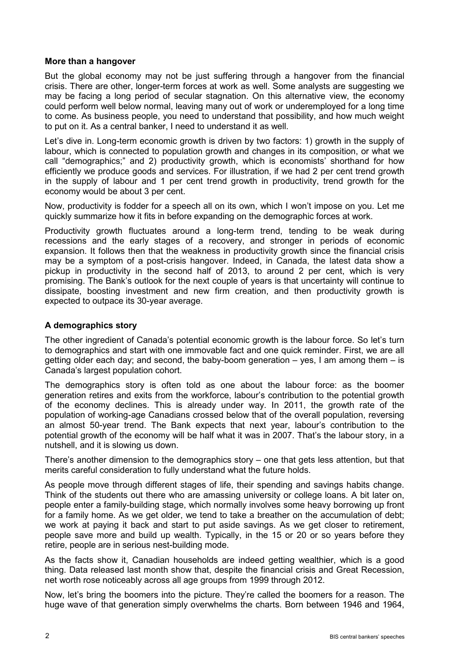### **More than a hangover**

But the global economy may not be just suffering through a hangover from the financial crisis. There are other, longer-term forces at work as well. Some analysts are suggesting we may be facing a long period of secular stagnation. On this alternative view, the economy could perform well below normal, leaving many out of work or underemployed for a long time to come. As business people, you need to understand that possibility, and how much weight to put on it. As a central banker, I need to understand it as well.

Let's dive in. Long-term economic growth is driven by two factors: 1) growth in the supply of labour, which is connected to population growth and changes in its composition, or what we call "demographics;" and 2) productivity growth, which is economists' shorthand for how efficiently we produce goods and services. For illustration, if we had 2 per cent trend growth in the supply of labour and 1 per cent trend growth in productivity, trend growth for the economy would be about 3 per cent.

Now, productivity is fodder for a speech all on its own, which I won't impose on you. Let me quickly summarize how it fits in before expanding on the demographic forces at work.

Productivity growth fluctuates around a long-term trend, tending to be weak during recessions and the early stages of a recovery, and stronger in periods of economic expansion. It follows then that the weakness in productivity growth since the financial crisis may be a symptom of a post-crisis hangover. Indeed, in Canada, the latest data show a pickup in productivity in the second half of 2013, to around 2 per cent, which is very promising. The Bank's outlook for the next couple of years is that uncertainty will continue to dissipate, boosting investment and new firm creation, and then productivity growth is expected to outpace its 30-year average.

# **A demographics story**

The other ingredient of Canada's potential economic growth is the labour force. So let's turn to demographics and start with one immovable fact and one quick reminder. First, we are all getting older each day; and second, the baby-boom generation  $-$  yes, I am among them  $-$  is Canada's largest population cohort.

The demographics story is often told as one about the labour force: as the boomer generation retires and exits from the workforce, labour's contribution to the potential growth of the economy declines. This is already under way. In 2011, the growth rate of the population of working-age Canadians crossed below that of the overall population, reversing an almost 50-year trend. The Bank expects that next year, labour's contribution to the potential growth of the economy will be half what it was in 2007. That's the labour story, in a nutshell, and it is slowing us down.

There's another dimension to the demographics story – one that gets less attention, but that merits careful consideration to fully understand what the future holds.

As people move through different stages of life, their spending and savings habits change. Think of the students out there who are amassing university or college loans. A bit later on, people enter a family-building stage, which normally involves some heavy borrowing up front for a family home. As we get older, we tend to take a breather on the accumulation of debt; we work at paying it back and start to put aside savings. As we get closer to retirement, people save more and build up wealth. Typically, in the 15 or 20 or so years before they retire, people are in serious nest-building mode.

As the facts show it, Canadian households are indeed getting wealthier, which is a good thing. Data released last month show that, despite the financial crisis and Great Recession, net worth rose noticeably across all age groups from 1999 through 2012.

Now, let's bring the boomers into the picture. They're called the boomers for a reason. The huge wave of that generation simply overwhelms the charts. Born between 1946 and 1964,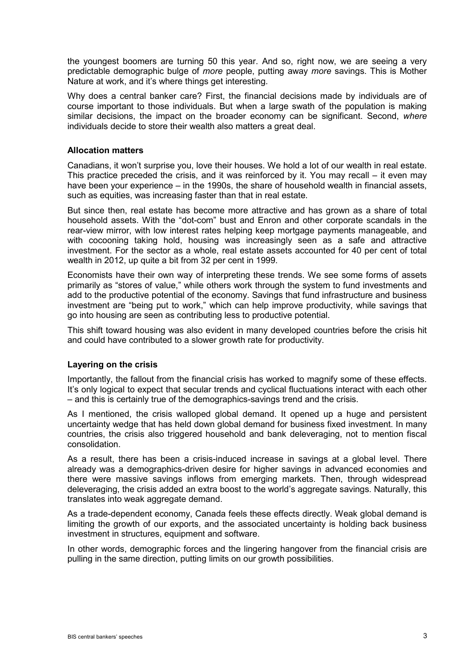the youngest boomers are turning 50 this year. And so, right now, we are seeing a very predictable demographic bulge of *more* people, putting away *more* savings. This is Mother Nature at work, and it's where things get interesting.

Why does a central banker care? First, the financial decisions made by individuals are of course important to those individuals. But when a large swath of the population is making similar decisions, the impact on the broader economy can be significant. Second, *where*  individuals decide to store their wealth also matters a great deal.

### **Allocation matters**

Canadians, it won't surprise you, love their houses. We hold a lot of our wealth in real estate. This practice preceded the crisis, and it was reinforced by it. You may recall – it even may have been your experience – in the 1990s, the share of household wealth in financial assets, such as equities, was increasing faster than that in real estate.

But since then, real estate has become more attractive and has grown as a share of total household assets. With the "dot-com" bust and Enron and other corporate scandals in the rear-view mirror, with low interest rates helping keep mortgage payments manageable, and with cocooning taking hold, housing was increasingly seen as a safe and attractive investment. For the sector as a whole, real estate assets accounted for 40 per cent of total wealth in 2012, up quite a bit from 32 per cent in 1999.

Economists have their own way of interpreting these trends. We see some forms of assets primarily as "stores of value," while others work through the system to fund investments and add to the productive potential of the economy. Savings that fund infrastructure and business investment are "being put to work," which can help improve productivity, while savings that go into housing are seen as contributing less to productive potential.

This shift toward housing was also evident in many developed countries before the crisis hit and could have contributed to a slower growth rate for productivity.

# **Layering on the crisis**

Importantly, the fallout from the financial crisis has worked to magnify some of these effects. It's only logical to expect that secular trends and cyclical fluctuations interact with each other – and this is certainly true of the demographics-savings trend and the crisis.

As I mentioned, the crisis walloped global demand. It opened up a huge and persistent uncertainty wedge that has held down global demand for business fixed investment. In many countries, the crisis also triggered household and bank deleveraging, not to mention fiscal consolidation.

As a result, there has been a crisis-induced increase in savings at a global level. There already was a demographics-driven desire for higher savings in advanced economies and there were massive savings inflows from emerging markets. Then, through widespread deleveraging, the crisis added an extra boost to the world's aggregate savings. Naturally, this translates into weak aggregate demand.

As a trade-dependent economy, Canada feels these effects directly. Weak global demand is limiting the growth of our exports, and the associated uncertainty is holding back business investment in structures, equipment and software.

In other words, demographic forces and the lingering hangover from the financial crisis are pulling in the same direction, putting limits on our growth possibilities.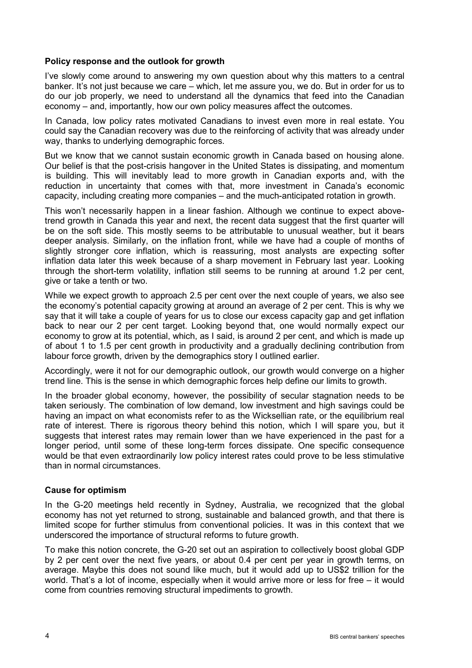## **Policy response and the outlook for growth**

I've slowly come around to answering my own question about why this matters to a central banker. It's not just because we care – which, let me assure you, we do. But in order for us to do our job properly, we need to understand all the dynamics that feed into the Canadian economy – and, importantly, how our own policy measures affect the outcomes.

In Canada, low policy rates motivated Canadians to invest even more in real estate. You could say the Canadian recovery was due to the reinforcing of activity that was already under way, thanks to underlying demographic forces.

But we know that we cannot sustain economic growth in Canada based on housing alone. Our belief is that the post-crisis hangover in the United States is dissipating, and momentum is building. This will inevitably lead to more growth in Canadian exports and, with the reduction in uncertainty that comes with that, more investment in Canada's economic capacity, including creating more companies – and the much-anticipated rotation in growth.

This won't necessarily happen in a linear fashion. Although we continue to expect abovetrend growth in Canada this year and next, the recent data suggest that the first quarter will be on the soft side. This mostly seems to be attributable to unusual weather, but it bears deeper analysis. Similarly, on the inflation front, while we have had a couple of months of slightly stronger core inflation, which is reassuring, most analysts are expecting softer inflation data later this week because of a sharp movement in February last year. Looking through the short-term volatility, inflation still seems to be running at around 1.2 per cent, give or take a tenth or two.

While we expect growth to approach 2.5 per cent over the next couple of years, we also see the economy's potential capacity growing at around an average of 2 per cent. This is why we say that it will take a couple of years for us to close our excess capacity gap and get inflation back to near our 2 per cent target. Looking beyond that, one would normally expect our economy to grow at its potential, which, as I said, is around 2 per cent, and which is made up of about 1 to 1.5 per cent growth in productivity and a gradually declining contribution from labour force growth, driven by the demographics story I outlined earlier.

Accordingly, were it not for our demographic outlook, our growth would converge on a higher trend line. This is the sense in which demographic forces help define our limits to growth.

In the broader global economy, however, the possibility of secular stagnation needs to be taken seriously. The combination of low demand, low investment and high savings could be having an impact on what economists refer to as the Wicksellian rate, or the equilibrium real rate of interest. There is rigorous theory behind this notion, which I will spare you, but it suggests that interest rates may remain lower than we have experienced in the past for a longer period, until some of these long-term forces dissipate. One specific consequence would be that even extraordinarily low policy interest rates could prove to be less stimulative than in normal circumstances.

#### **Cause for optimism**

In the G-20 meetings held recently in Sydney, Australia, we recognized that the global economy has not yet returned to strong, sustainable and balanced growth, and that there is limited scope for further stimulus from conventional policies. It was in this context that we underscored the importance of structural reforms to future growth.

To make this notion concrete, the G-20 set out an aspiration to collectively boost global GDP by 2 per cent over the next five years, or about 0.4 per cent per year in growth terms, on average. Maybe this does not sound like much, but it would add up to US\$2 trillion for the world. That's a lot of income, especially when it would arrive more or less for free – it would come from countries removing structural impediments to growth.